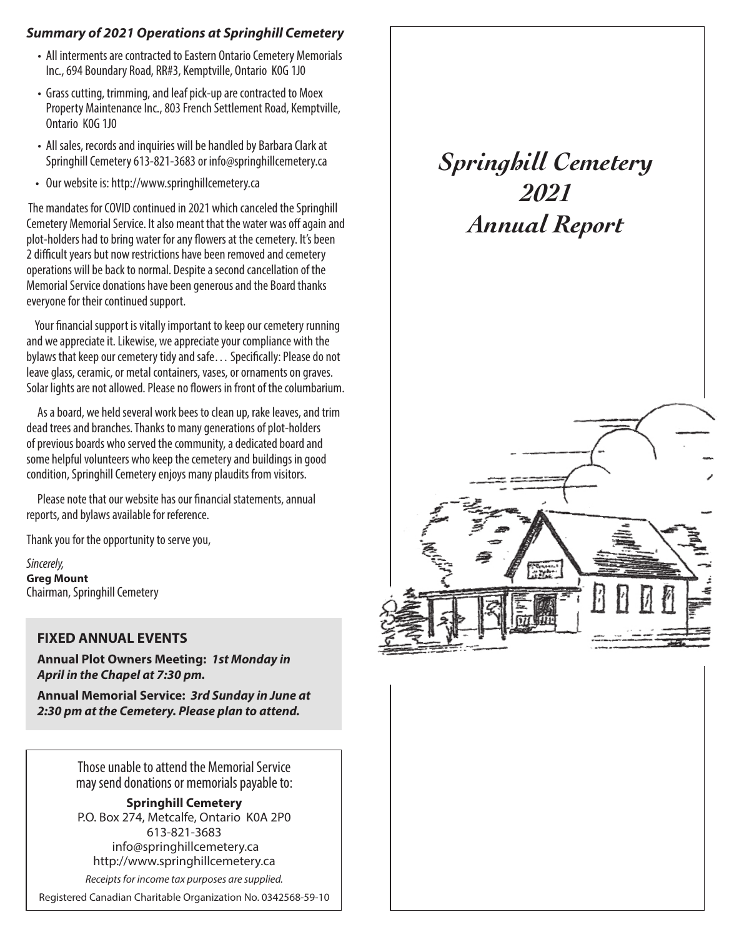## *Summary of 2021 Operations at Springhill Cemetery*

- All interments are contracted to Eastern Ontario Cemetery Memorials Inc., 694 Boundary Road, RR#3, Kemptville, Ontario K0G 1J0
- Grass cutting, trimming, and leaf pick-up are contracted to Moex Property Maintenance Inc., 803 French Settlement Road, Kemptville, Ontario K0G 1J0
- All sales, records and inquiries will be handled by Barbara Clark at Springhill Cemetery 613-821-3683 or info@springhillcemetery.ca
- Our website is: http://www.springhillcemetery.ca

 The mandates for COVID continued in 2021 which canceled the Springhill Cemetery Memorial Service. It also meant that the water was off again and plot-holders had to bring water for any flowers at the cemetery. It's been 2 difficult years but now restrictions have been removed and cemetery operations will be back to normal. Despite a second cancellation of the Memorial Service donations have been generous and the Board thanks everyone for their continued support.

 Your financial support is vitally important to keep our cemetery running and we appreciate it. Likewise, we appreciate your compliance with the bylaws that keep our cemetery tidy and safe… Specifically: Please do not leave glass, ceramic, or metal containers, vases, or ornaments on graves. Solar lights are not allowed. Please no flowers in front of the columbarium.

 As a board, we held several work bees to clean up, rake leaves, and trim dead trees and branches. Thanks to many generations of plot-holders of previous boards who served the community, a dedicated board and some helpful volunteers who keep the cemetery and buildings in good condition, Springhill Cemetery enjoys many plaudits from visitors.

 Please note that our website has our financial statements, annual reports, and bylaws available for reference.

Thank you for the opportunity to serve you,

*Sincerely,* **Greg Mount** Chairman, Springhill Cemetery

## **FIXED ANNUAL EVENTS**

**Annual Plot Owners Meeting:** *1st Monday in April in the Chapel at 7:30 pm.*

**Annual Memorial Service:** *3rd Sunday in June at 2:30 pm at the Cemetery. Please plan to attend.*

> Those unable to attend the Memorial Service may send donations or memorials payable to:

> **Springhill Cemetery** P.O. Box 274, Metcalfe, Ontario K0A 2P0 613-821-3683 info@springhillcemetery.ca http://www.springhillcemetery.ca

*Receipts for income tax purposes are supplied.*

Registered Canadian Charitable Organization No. 0342568-59-10